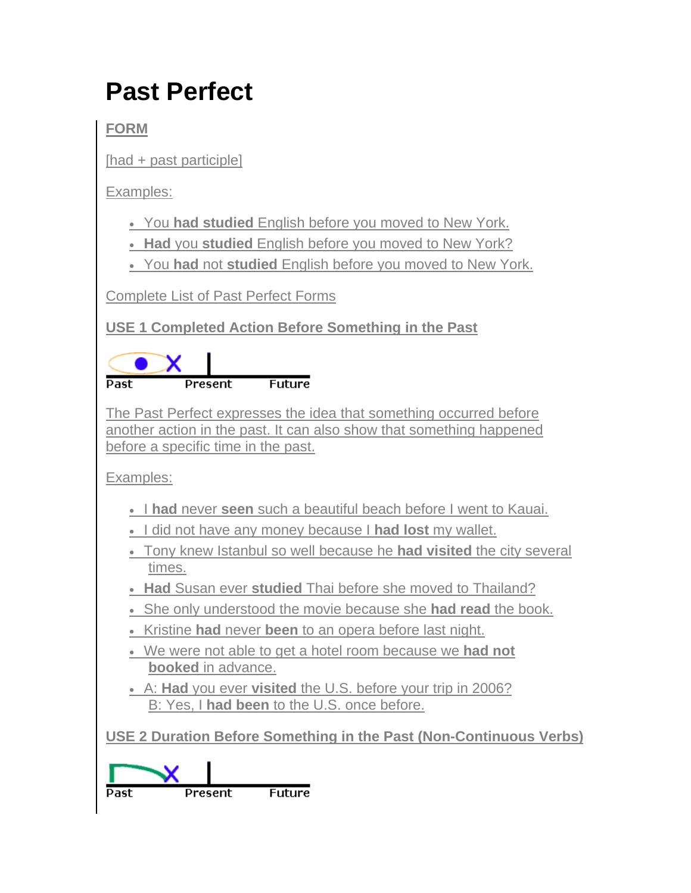## **Past Perfect**

**FORM**

[had + past participle]

Examples:

- You **had studied** English before you moved to New York.
- **Had** you **studied** English before you moved to New York?
- You **had** not **studied** English before you moved to New York.

Complete List of Past Perfect Forms

**USE 1 Completed Action Before Something in the Past**

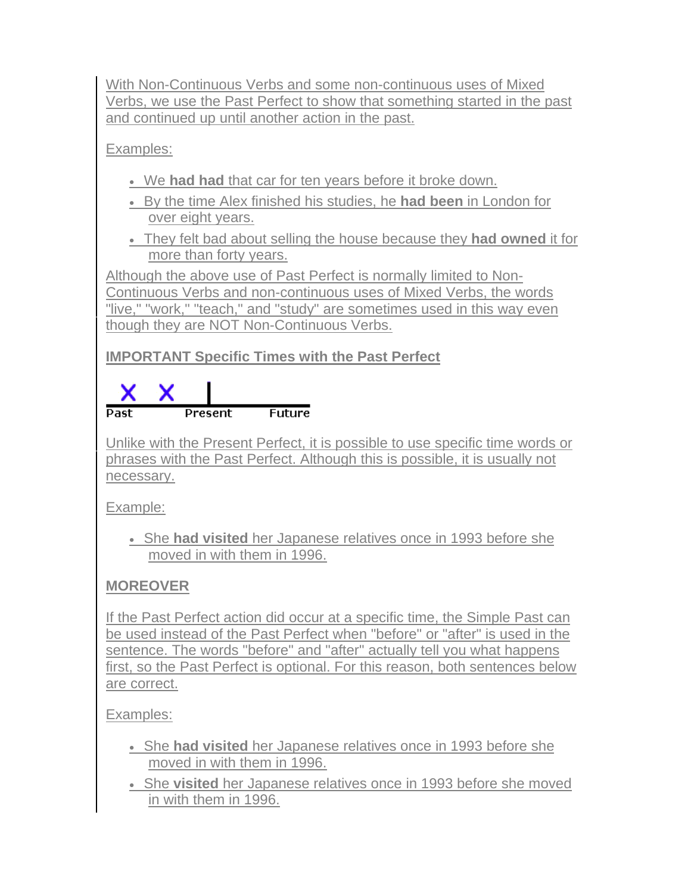With Non-Continuous Verbs and some non-continuous uses of Mixed Verbs, we use the Past Perfect to show that something started in the past and continued up until another action in the past.

Examples:

- We **had had** that car for ten years before it broke down.
- By the time Alex finished his studies, he **had been** in London for over eight years.
- They felt bad about selling the house because they **had owned** it for more than forty years.

Although the above use of Past Perfect is normally limited to Non-Continuous Verbs and non-continuous uses of Mixed Verbs, the words "live," "work," "teach," and "study" are sometimes used in this way even though they are NOT Non-Continuous Verbs.

## **IMPORTANT Specific Times with the Past Perfect**



Unlike with the Present Perfect, it is possible to use specific time words or phrases with the Past Perfect. Although this is possible, it is usually not necessary.

Example:

 She **had visited** her Japanese relatives once in 1993 before she moved in with them in 1996.

## **MOREOVER**

If the Past Perfect action did occur at a specific time, the Simple Past can be used instead of the Past Perfect when "before" or "after" is used in the sentence. The words "before" and "after" actually tell you what happens first, so the Past Perfect is optional. For this reason, both sentences below are correct.

Examples:

- She **had visited** her Japanese relatives once in 1993 before she moved in with them in 1996.
- She **visited** her Japanese relatives once in 1993 before she moved in with them in 1996.